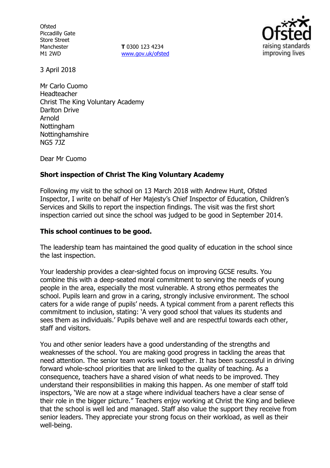**Ofsted** Piccadilly Gate Store Street Manchester M1 2WD

**T** 0300 123 4234 www.gov.uk/ofsted



3 April 2018

Mr Carlo Cuomo Headteacher Christ The King Voluntary Academy Darlton Drive Arnold **Nottingham** Nottinghamshire NG5 7JZ

Dear Mr Cuomo

## **Short inspection of Christ The King Voluntary Academy**

Following my visit to the school on 13 March 2018 with Andrew Hunt, Ofsted Inspector, I write on behalf of Her Majesty's Chief Inspector of Education, Children's Services and Skills to report the inspection findings. The visit was the first short inspection carried out since the school was judged to be good in September 2014.

### **This school continues to be good.**

The leadership team has maintained the good quality of education in the school since the last inspection.

Your leadership provides a clear-sighted focus on improving GCSE results. You combine this with a deep-seated moral commitment to serving the needs of young people in the area, especially the most vulnerable. A strong ethos permeates the school. Pupils learn and grow in a caring, strongly inclusive environment. The school caters for a wide range of pupils' needs. A typical comment from a parent reflects this commitment to inclusion, stating: 'A very good school that values its students and sees them as individuals.' Pupils behave well and are respectful towards each other, staff and visitors.

You and other senior leaders have a good understanding of the strengths and weaknesses of the school. You are making good progress in tackling the areas that need attention. The senior team works well together. It has been successful in driving forward whole-school priorities that are linked to the quality of teaching. As a consequence, teachers have a shared vision of what needs to be improved. They understand their responsibilities in making this happen. As one member of staff told inspectors, 'We are now at a stage where individual teachers have a clear sense of their role in the bigger picture." Teachers enjoy working at Christ the King and believe that the school is well led and managed. Staff also value the support they receive from senior leaders. They appreciate your strong focus on their workload, as well as their well-being.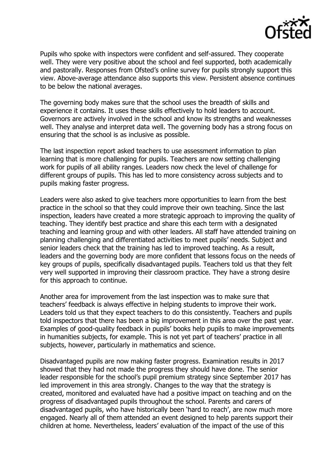

Pupils who spoke with inspectors were confident and self-assured. They cooperate well. They were very positive about the school and feel supported, both academically and pastorally. Responses from Ofsted's online survey for pupils strongly support this view. Above-average attendance also supports this view. Persistent absence continues to be below the national averages.

The governing body makes sure that the school uses the breadth of skills and experience it contains. It uses these skills effectively to hold leaders to account. Governors are actively involved in the school and know its strengths and weaknesses well. They analyse and interpret data well. The governing body has a strong focus on ensuring that the school is as inclusive as possible.

The last inspection report asked teachers to use assessment information to plan learning that is more challenging for pupils. Teachers are now setting challenging work for pupils of all ability ranges. Leaders now check the level of challenge for different groups of pupils. This has led to more consistency across subjects and to pupils making faster progress.

Leaders were also asked to give teachers more opportunities to learn from the best practice in the school so that they could improve their own teaching. Since the last inspection, leaders have created a more strategic approach to improving the quality of teaching. They identify best practice and share this each term with a designated teaching and learning group and with other leaders. All staff have attended training on planning challenging and differentiated activities to meet pupils' needs. Subject and senior leaders check that the training has led to improved teaching. As a result, leaders and the governing body are more confident that lessons focus on the needs of key groups of pupils, specifically disadvantaged pupils. Teachers told us that they felt very well supported in improving their classroom practice. They have a strong desire for this approach to continue.

Another area for improvement from the last inspection was to make sure that teachers' feedback is always effective in helping students to improve their work. Leaders told us that they expect teachers to do this consistently. Teachers and pupils told inspectors that there has been a big improvement in this area over the past year. Examples of good-quality feedback in pupils' books help pupils to make improvements in humanities subjects, for example. This is not yet part of teachers' practice in all subjects, however, particularly in mathematics and science.

Disadvantaged pupils are now making faster progress. Examination results in 2017 showed that they had not made the progress they should have done. The senior leader responsible for the school's pupil premium strategy since September 2017 has led improvement in this area strongly. Changes to the way that the strategy is created, monitored and evaluated have had a positive impact on teaching and on the progress of disadvantaged pupils throughout the school. Parents and carers of disadvantaged pupils, who have historically been 'hard to reach', are now much more engaged. Nearly all of them attended an event designed to help parents support their children at home. Nevertheless, leaders' evaluation of the impact of the use of this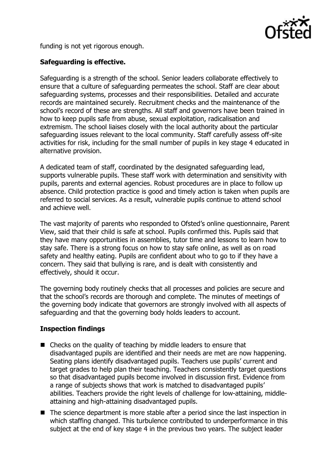

funding is not yet rigorous enough.

## **Safeguarding is effective.**

Safeguarding is a strength of the school. Senior leaders collaborate effectively to ensure that a culture of safeguarding permeates the school. Staff are clear about safeguarding systems, processes and their responsibilities. Detailed and accurate records are maintained securely. Recruitment checks and the maintenance of the school's record of these are strengths. All staff and governors have been trained in how to keep pupils safe from abuse, sexual exploitation, radicalisation and extremism. The school liaises closely with the local authority about the particular safeguarding issues relevant to the local community. Staff carefully assess off-site activities for risk, including for the small number of pupils in key stage 4 educated in alternative provision.

A dedicated team of staff, coordinated by the designated safeguarding lead, supports vulnerable pupils. These staff work with determination and sensitivity with pupils, parents and external agencies. Robust procedures are in place to follow up absence. Child protection practice is good and timely action is taken when pupils are referred to social services. As a result, vulnerable pupils continue to attend school and achieve well.

The vast majority of parents who responded to Ofsted's online questionnaire, Parent View, said that their child is safe at school. Pupils confirmed this. Pupils said that they have many opportunities in assemblies, tutor time and lessons to learn how to stay safe. There is a strong focus on how to stay safe online, as well as on road safety and healthy eating. Pupils are confident about who to go to if they have a concern. They said that bullying is rare, and is dealt with consistently and effectively, should it occur.

The governing body routinely checks that all processes and policies are secure and that the school's records are thorough and complete. The minutes of meetings of the governing body indicate that governors are strongly involved with all aspects of safeguarding and that the governing body holds leaders to account.

# **Inspection findings**

- Checks on the quality of teaching by middle leaders to ensure that disadvantaged pupils are identified and their needs are met are now happening. Seating plans identify disadvantaged pupils. Teachers use pupils' current and target grades to help plan their teaching. Teachers consistently target questions so that disadvantaged pupils become involved in discussion first. Evidence from a range of subjects shows that work is matched to disadvantaged pupils' abilities. Teachers provide the right levels of challenge for low-attaining, middleattaining and high-attaining disadvantaged pupils.
- The science department is more stable after a period since the last inspection in which staffing changed. This turbulence contributed to underperformance in this subject at the end of key stage 4 in the previous two years. The subject leader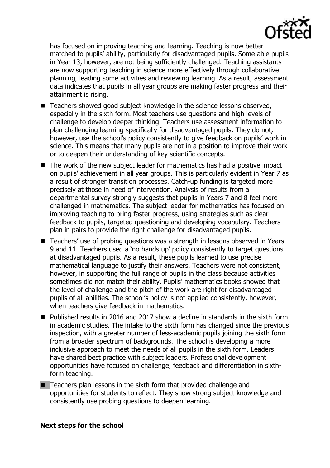

has focused on improving teaching and learning. Teaching is now better matched to pupils' ability, particularly for disadvantaged pupils. Some able pupils in Year 13, however, are not being sufficiently challenged. Teaching assistants are now supporting teaching in science more effectively through collaborative planning, leading some activities and reviewing learning. As a result, assessment data indicates that pupils in all year groups are making faster progress and their attainment is rising.

- Teachers showed good subject knowledge in the science lessons observed, especially in the sixth form. Most teachers use questions and high levels of challenge to develop deeper thinking. Teachers use assessment information to plan challenging learning specifically for disadvantaged pupils. They do not, however, use the school's policy consistently to give feedback on pupils' work in science. This means that many pupils are not in a position to improve their work or to deepen their understanding of key scientific concepts.
- $\blacksquare$  The work of the new subject leader for mathematics has had a positive impact on pupils' achievement in all year groups. This is particularly evident in Year 7 as a result of stronger transition processes. Catch-up funding is targeted more precisely at those in need of intervention. Analysis of results from a departmental survey strongly suggests that pupils in Years 7 and 8 feel more challenged in mathematics. The subject leader for mathematics has focused on improving teaching to bring faster progress, using strategies such as clear feedback to pupils, targeted questioning and developing vocabulary. Teachers plan in pairs to provide the right challenge for disadvantaged pupils.
- Teachers' use of probing questions was a strength in lessons observed in Years 9 and 11. Teachers used a 'no hands up' policy consistently to target questions at disadvantaged pupils. As a result, these pupils learned to use precise mathematical language to justify their answers. Teachers were not consistent, however, in supporting the full range of pupils in the class because activities sometimes did not match their ability. Pupils' mathematics books showed that the level of challenge and the pitch of the work are right for disadvantaged pupils of all abilities. The school's policy is not applied consistently, however, when teachers give feedback in mathematics.
- Published results in 2016 and 2017 show a decline in standards in the sixth form in academic studies. The intake to the sixth form has changed since the previous inspection, with a greater number of less-academic pupils joining the sixth form from a broader spectrum of backgrounds. The school is developing a more inclusive approach to meet the needs of all pupils in the sixth form. Leaders have shared best practice with subject leaders. Professional development opportunities have focused on challenge, feedback and differentiation in sixthform teaching.
- $\blacksquare$  Teachers plan lessons in the sixth form that provided challenge and opportunities for students to reflect. They show strong subject knowledge and consistently use probing questions to deepen learning.

#### **Next steps for the school**